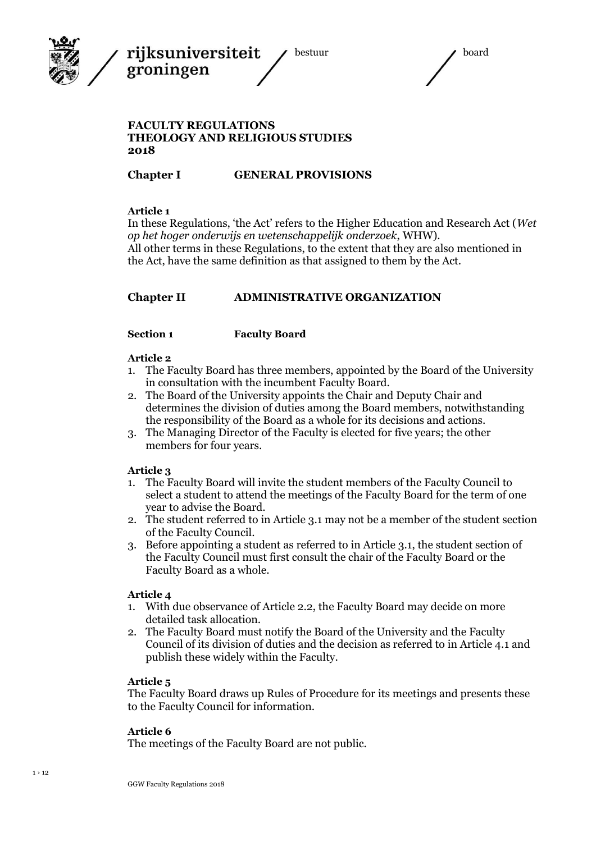



#### **FACULTY REGULATIONS THEOLOGY AND RELIGIOUS STUDIES 2018**

#### **Chapter I GENERAL PROVISIONS**

#### **Article 1**

In these Regulations, 'the Act' refers to the Higher Education and Research Act (*Wet op het hoger onderwijs en wetenschappelijk onderzoek*, WHW). All other terms in these Regulations, to the extent that they are also mentioned in the Act, have the same definition as that assigned to them by the Act.

### **Chapter II ADMINISTRATIVE ORGANIZATION**

#### **Section 1 Faculty Board**

#### **Article 2**

- 1. The Faculty Board has three members, appointed by the Board of the University in consultation with the incumbent Faculty Board.
- 2. The Board of the University appoints the Chair and Deputy Chair and determines the division of duties among the Board members, notwithstanding the responsibility of the Board as a whole for its decisions and actions.
- 3. The Managing Director of the Faculty is elected for five years; the other members for four years.

#### **Article 3**

- 1. The Faculty Board will invite the student members of the Faculty Council to select a student to attend the meetings of the Faculty Board for the term of one year to advise the Board.
- 2. The student referred to in Article 3.1 may not be a member of the student section of the Faculty Council.
- 3. Before appointing a student as referred to in Article 3.1, the student section of the Faculty Council must first consult the chair of the Faculty Board or the Faculty Board as a whole.

#### **Article 4**

- 1. With due observance of Article 2.2, the Faculty Board may decide on more detailed task allocation.
- 2. The Faculty Board must notify the Board of the University and the Faculty Council of its division of duties and the decision as referred to in Article 4.1 and publish these widely within the Faculty.

#### **Article 5**

The Faculty Board draws up Rules of Procedure for its meetings and presents these to the Faculty Council for information.

#### **Article 6**

The meetings of the Faculty Board are not public.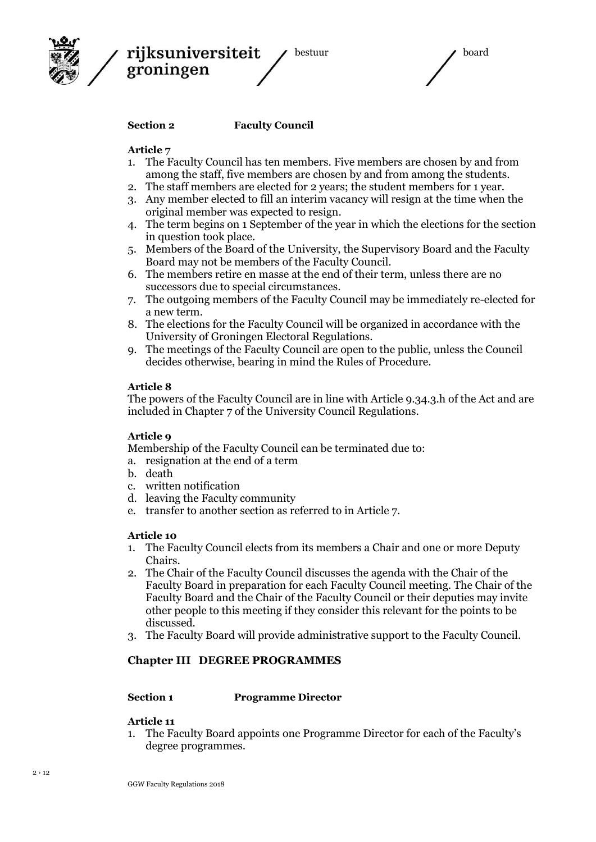



#### **Section 2 Faculty Council**

#### **Article 7**

- 1. The Faculty Council has ten members. Five members are chosen by and from among the staff, five members are chosen by and from among the students.
- 2. The staff members are elected for 2 years; the student members for 1 year.
- 3. Any member elected to fill an interim vacancy will resign at the time when the original member was expected to resign.
- 4. The term begins on 1 September of the year in which the elections for the section in question took place.
- 5. Members of the Board of the University, the Supervisory Board and the Faculty Board may not be members of the Faculty Council.
- 6. The members retire en masse at the end of their term, unless there are no successors due to special circumstances.
- 7. The outgoing members of the Faculty Council may be immediately re-elected for a new term.
- 8. The elections for the Faculty Council will be organized in accordance with the University of Groningen Electoral Regulations.
- 9. The meetings of the Faculty Council are open to the public, unless the Council decides otherwise, bearing in mind the Rules of Procedure.

#### **Article 8**

The powers of the Faculty Council are in line with Article 9.34.3.h of the Act and are included in Chapter 7 of the University Council Regulations.

#### **Article 9**

Membership of the Faculty Council can be terminated due to:

- a. resignation at the end of a term
- b. death
- c. written notification
- d. leaving the Faculty community
- e. transfer to another section as referred to in Article 7.

#### **Article 10**

- 1. The Faculty Council elects from its members a Chair and one or more Deputy Chairs.
- 2. The Chair of the Faculty Council discusses the agenda with the Chair of the Faculty Board in preparation for each Faculty Council meeting. The Chair of the Faculty Board and the Chair of the Faculty Council or their deputies may invite other people to this meeting if they consider this relevant for the points to be discussed.
- 3. The Faculty Board will provide administrative support to the Faculty Council.

#### **Chapter III DEGREE PROGRAMMES**

#### **Section 1 Programme Director**

#### **Article 11**

1. The Faculty Board appoints one Programme Director for each of the Faculty's degree programmes.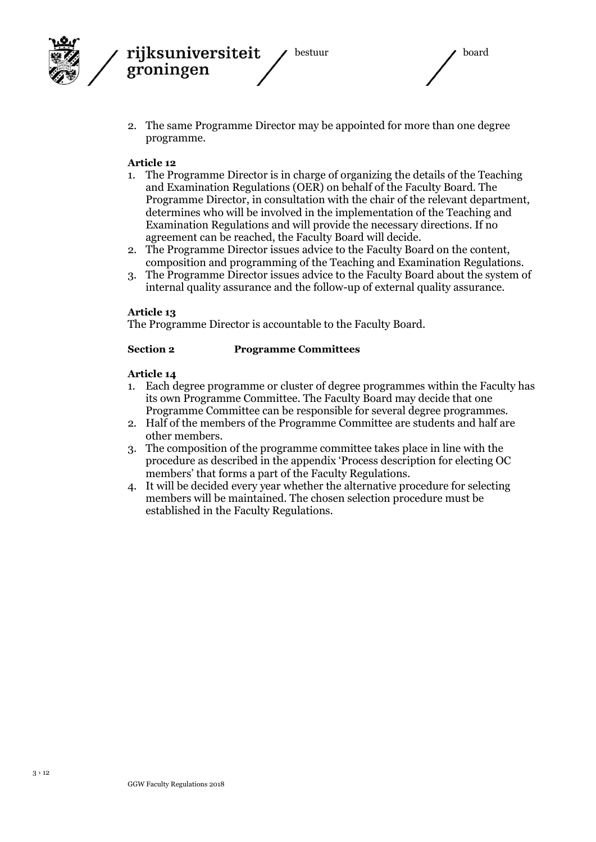

2. The same Programme Director may be appointed for more than one degree programme.

#### **Article 12**

- 1. The Programme Director is in charge of organizing the details of the Teaching and Examination Regulations (OER) on behalf of the Faculty Board. The Programme Director, in consultation with the chair of the relevant department, determines who will be involved in the implementation of the Teaching and Examination Regulations and will provide the necessary directions. If no agreement can be reached, the Faculty Board will decide.
- 2. The Programme Director issues advice to the Faculty Board on the content, composition and programming of the Teaching and Examination Regulations.
- 3. The Programme Director issues advice to the Faculty Board about the system of internal quality assurance and the follow-up of external quality assurance.

#### **Article 13**

The Programme Director is accountable to the Faculty Board.

#### **Section 2 Programme Committees**

- 1. Each degree programme or cluster of degree programmes within the Faculty has its own Programme Committee. The Faculty Board may decide that one Programme Committee can be responsible for several degree programmes.
- 2. Half of the members of the Programme Committee are students and half are other members.
- 3. The composition of the programme committee takes place in line with the procedure as described in the appendix 'Process description for electing OC members' that forms a part of the Faculty Regulations.
- 4. It will be decided every year whether the alternative procedure for selecting members will be maintained. The chosen selection procedure must be established in the Faculty Regulations.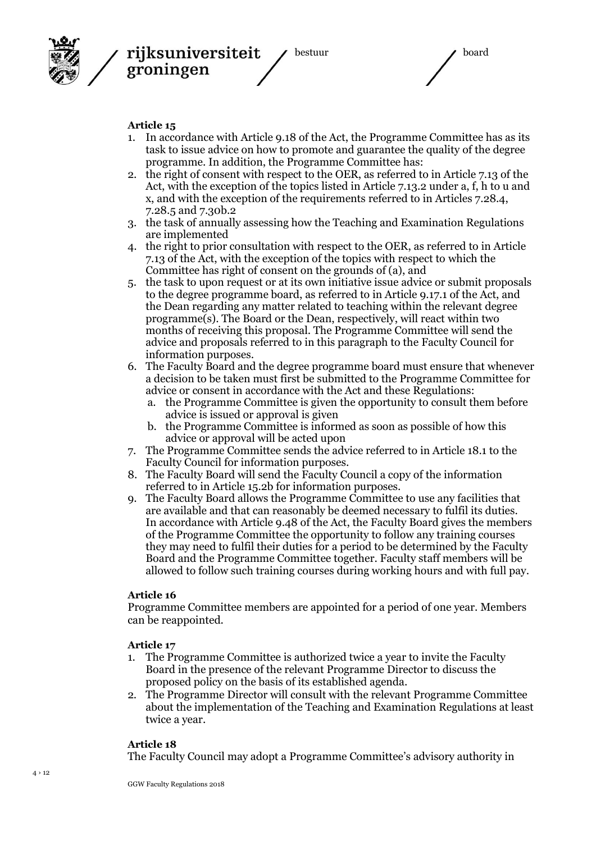

bestuur aan de board

#### **Article 15**

- 1. In accordance with Article 9.18 of the Act, the Programme Committee has as its task to issue advice on how to promote and guarantee the quality of the degree programme. In addition, the Programme Committee has:
- 2. the right of consent with respect to the OER, as referred to in Article 7.13 of the Act, with the exception of the topics listed in Article 7.13.2 under a, f, h to u and x, and with the exception of the requirements referred to in Articles 7.28.4, 7.28.5 and 7.30b.2
- 3. the task of annually assessing how the Teaching and Examination Regulations are implemented
- 4. the right to prior consultation with respect to the OER, as referred to in Article 7.13 of the Act, with the exception of the topics with respect to which the Committee has right of consent on the grounds of (a), and
- 5. the task to upon request or at its own initiative issue advice or submit proposals to the degree programme board, as referred to in Article 9.17.1 of the Act, and the Dean regarding any matter related to teaching within the relevant degree programme(s). The Board or the Dean, respectively, will react within two months of receiving this proposal. The Programme Committee will send the advice and proposals referred to in this paragraph to the Faculty Council for information purposes.
- 6. The Faculty Board and the degree programme board must ensure that whenever a decision to be taken must first be submitted to the Programme Committee for advice or consent in accordance with the Act and these Regulations:
	- a. the Programme Committee is given the opportunity to consult them before advice is issued or approval is given
	- b. the Programme Committee is informed as soon as possible of how this advice or approval will be acted upon
- 7. The Programme Committee sends the advice referred to in Article 18.1 to the Faculty Council for information purposes.
- 8. The Faculty Board will send the Faculty Council a copy of the information referred to in Article 15.2b for information purposes.
- 9. The Faculty Board allows the Programme Committee to use any facilities that are available and that can reasonably be deemed necessary to fulfil its duties. In accordance with Article 9.48 of the Act, the Faculty Board gives the members of the Programme Committee the opportunity to follow any training courses they may need to fulfil their duties for a period to be determined by the Faculty Board and the Programme Committee together. Faculty staff members will be allowed to follow such training courses during working hours and with full pay.

#### **Article 16**

Programme Committee members are appointed for a period of one year. Members can be reappointed.

#### **Article 17**

- 1. The Programme Committee is authorized twice a year to invite the Faculty Board in the presence of the relevant Programme Director to discuss the proposed policy on the basis of its established agenda.
- 2. The Programme Director will consult with the relevant Programme Committee about the implementation of the Teaching and Examination Regulations at least twice a year.

#### **Article 18**

The Faculty Council may adopt a Programme Committee's advisory authority in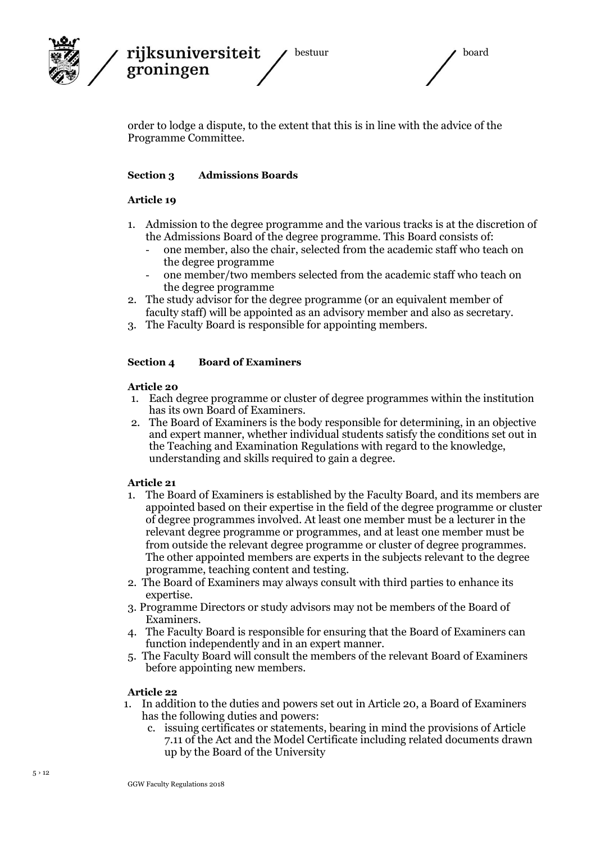

order to lodge a dispute, to the extent that this is in line with the advice of the Programme Committee.

#### **Section 3 Admissions Boards**

#### **Article 19**

- 1. Admission to the degree programme and the various tracks is at the discretion of the Admissions Board of the degree programme. This Board consists of:
	- one member, also the chair, selected from the academic staff who teach on the degree programme
	- one member/two members selected from the academic staff who teach on the degree programme
- 2. The study advisor for the degree programme (or an equivalent member of faculty staff) will be appointed as an advisory member and also as secretary.
- 3. The Faculty Board is responsible for appointing members.

#### **Section 4 Board of Examiners**

#### **Article 20**

- 1. Each degree programme or cluster of degree programmes within the institution has its own Board of Examiners.
- 2. The Board of Examiners is the body responsible for determining, in an objective and expert manner, whether individual students satisfy the conditions set out in the Teaching and Examination Regulations with regard to the knowledge, understanding and skills required to gain a degree.

#### **Article 21**

- 1. The Board of Examiners is established by the Faculty Board, and its members are appointed based on their expertise in the field of the degree programme or cluster of degree programmes involved. At least one member must be a lecturer in the relevant degree programme or programmes, and at least one member must be from outside the relevant degree programme or cluster of degree programmes. The other appointed members are experts in the subjects relevant to the degree programme, teaching content and testing.
- 2. The Board of Examiners may always consult with third parties to enhance its expertise.
- 3. Programme Directors or study advisors may not be members of the Board of Examiners.
- 4. The Faculty Board is responsible for ensuring that the Board of Examiners can function independently and in an expert manner.
- 5. The Faculty Board will consult the members of the relevant Board of Examiners before appointing new members.

- 1. In addition to the duties and powers set out in Article 20, a Board of Examiners has the following duties and powers:
	- c. issuing certificates or statements, bearing in mind the provisions of Article 7.11 of the Act and the Model Certificate including related documents drawn up by the Board of the University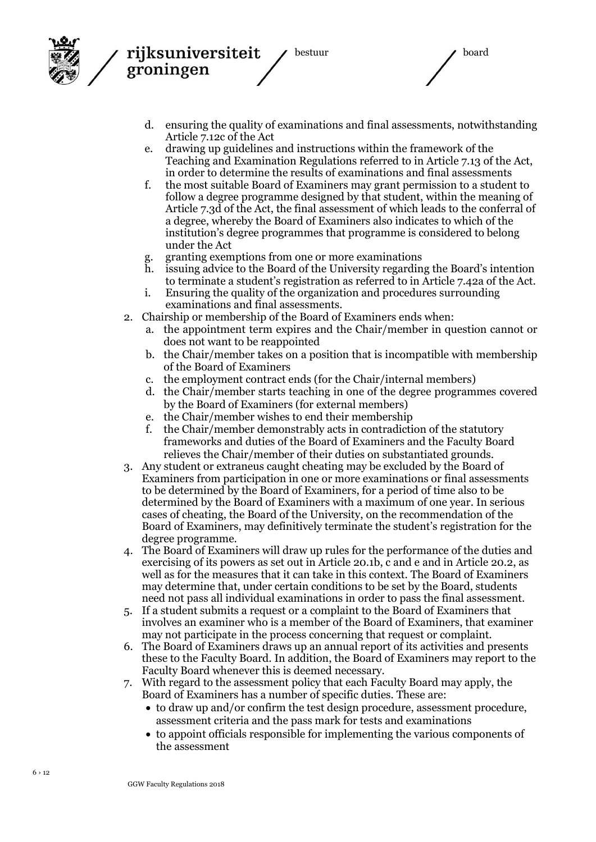

bestuur aan de board

- d. ensuring the quality of examinations and final assessments, notwithstanding Article 7.12c of the Act
- e. drawing up guidelines and instructions within the framework of the Teaching and Examination Regulations referred to in Article 7.13 of the Act, in order to determine the results of examinations and final assessments
- f. the most suitable Board of Examiners may grant permission to a student to follow a degree programme designed by that student, within the meaning of Article 7.3d of the Act, the final assessment of which leads to the conferral of a degree, whereby the Board of Examiners also indicates to which of the institution's degree programmes that programme is considered to belong under the Act
- g. granting exemptions from one or more examinations
- h. issuing advice to the Board of the University regarding the Board's intention to terminate a student's registration as referred to in Article 7.42a of the Act.
- i. Ensuring the quality of the organization and procedures surrounding examinations and final assessments.
- 2. Chairship or membership of the Board of Examiners ends when:
	- a. the appointment term expires and the Chair/member in question cannot or does not want to be reappointed
	- b. the Chair/member takes on a position that is incompatible with membership of the Board of Examiners
	- c. the employment contract ends (for the Chair/internal members)
	- d. the Chair/member starts teaching in one of the degree programmes covered by the Board of Examiners (for external members)
	- e. the Chair/member wishes to end their membership
	- f. the Chair/member demonstrably acts in contradiction of the statutory frameworks and duties of the Board of Examiners and the Faculty Board relieves the Chair/member of their duties on substantiated grounds.
- 3. Any student or extraneus caught cheating may be excluded by the Board of Examiners from participation in one or more examinations or final assessments to be determined by the Board of Examiners, for a period of time also to be determined by the Board of Examiners with a maximum of one year. In serious cases of cheating, the Board of the University, on the recommendation of the Board of Examiners, may definitively terminate the student's registration for the degree programme.
- 4. The Board of Examiners will draw up rules for the performance of the duties and exercising of its powers as set out in Article 20.1b, c and e and in Article 20.2, as well as for the measures that it can take in this context. The Board of Examiners may determine that, under certain conditions to be set by the Board, students need not pass all individual examinations in order to pass the final assessment.
- 5. If a student submits a request or a complaint to the Board of Examiners that involves an examiner who is a member of the Board of Examiners, that examiner may not participate in the process concerning that request or complaint.
- 6. The Board of Examiners draws up an annual report of its activities and presents these to the Faculty Board. In addition, the Board of Examiners may report to the Faculty Board whenever this is deemed necessary.
- 7. With regard to the assessment policy that each Faculty Board may apply, the Board of Examiners has a number of specific duties. These are:
	- to draw up and/or confirm the test design procedure, assessment procedure, assessment criteria and the pass mark for tests and examinations
	- to appoint officials responsible for implementing the various components of the assessment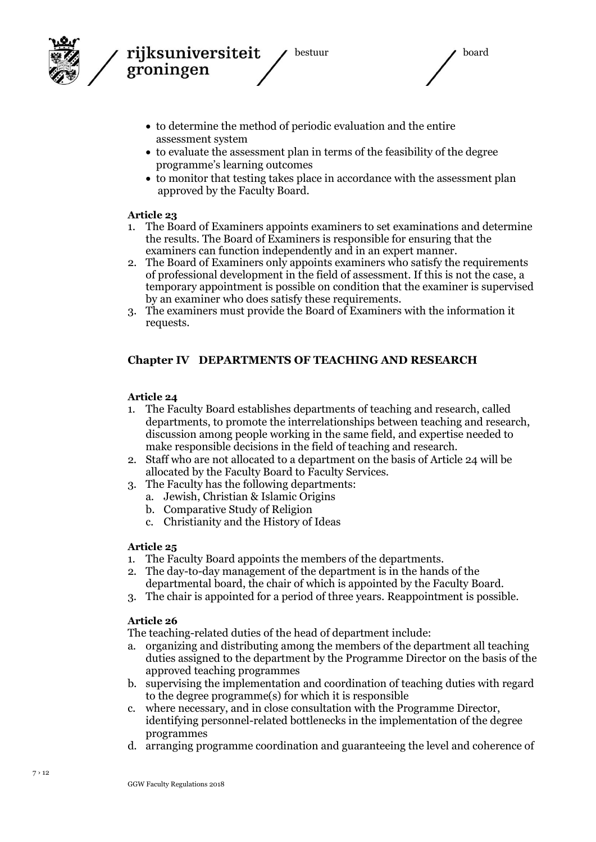

bestuur aan de board

- to determine the method of periodic evaluation and the entire assessment system
- to evaluate the assessment plan in terms of the feasibility of the degree programme's learning outcomes
- to monitor that testing takes place in accordance with the assessment plan approved by the Faculty Board.

#### **Article 23**

- 1. The Board of Examiners appoints examiners to set examinations and determine the results. The Board of Examiners is responsible for ensuring that the examiners can function independently and in an expert manner.
- 2. The Board of Examiners only appoints examiners who satisfy the requirements of professional development in the field of assessment. If this is not the case, a temporary appointment is possible on condition that the examiner is supervised by an examiner who does satisfy these requirements.
- 3. The examiners must provide the Board of Examiners with the information it requests.

### **Chapter IV DEPARTMENTS OF TEACHING AND RESEARCH**

#### **Article 24**

- 1. The Faculty Board establishes departments of teaching and research, called departments, to promote the interrelationships between teaching and research, discussion among people working in the same field, and expertise needed to make responsible decisions in the field of teaching and research.
- 2. Staff who are not allocated to a department on the basis of Article 24 will be allocated by the Faculty Board to Faculty Services.
- 3. The Faculty has the following departments:
	- a. Jewish, Christian & Islamic Origins
	- b. Comparative Study of Religion
	- c. Christianity and the History of Ideas

#### **Article 25**

- 1. The Faculty Board appoints the members of the departments.
- 2. The day-to-day management of the department is in the hands of the departmental board, the chair of which is appointed by the Faculty Board.
- 3. The chair is appointed for a period of three years. Reappointment is possible.

#### **Article 26**

The teaching-related duties of the head of department include:

- a. organizing and distributing among the members of the department all teaching duties assigned to the department by the Programme Director on the basis of the approved teaching programmes
- b. supervising the implementation and coordination of teaching duties with regard to the degree programme(s) for which it is responsible
- c. where necessary, and in close consultation with the Programme Director, identifying personnel-related bottlenecks in the implementation of the degree programmes
- d. arranging programme coordination and guaranteeing the level and coherence of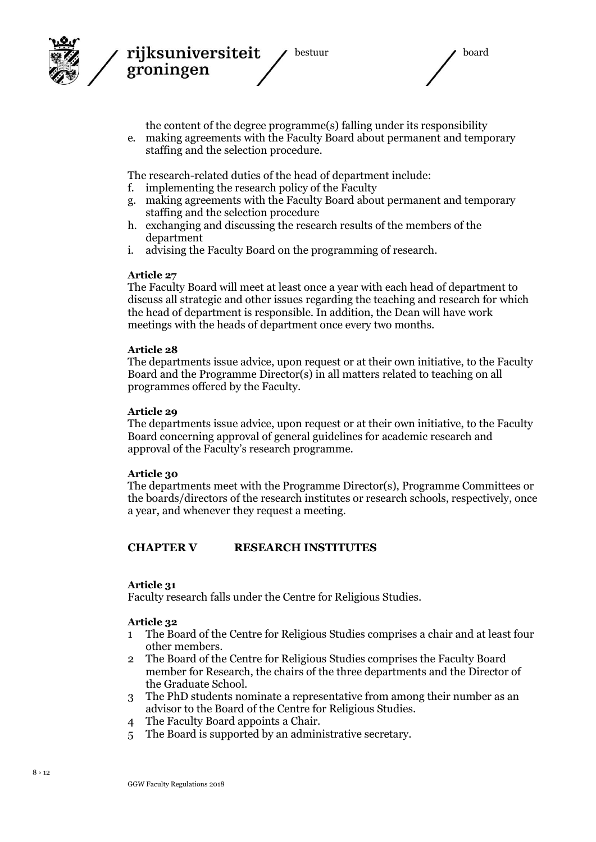



the content of the degree programme(s) falling under its responsibility

e. making agreements with the Faculty Board about permanent and temporary staffing and the selection procedure.

The research-related duties of the head of department include:

- f. implementing the research policy of the Faculty
- g. making agreements with the Faculty Board about permanent and temporary staffing and the selection procedure
- h. exchanging and discussing the research results of the members of the department
- i. advising the Faculty Board on the programming of research.

#### **Article 27**

rijksuniversiteit

groningen

The Faculty Board will meet at least once a year with each head of department to discuss all strategic and other issues regarding the teaching and research for which the head of department is responsible. In addition, the Dean will have work meetings with the heads of department once every two months.

#### **Article 28**

The departments issue advice, upon request or at their own initiative, to the Faculty Board and the Programme Director(s) in all matters related to teaching on all programmes offered by the Faculty.

#### **Article 29**

The departments issue advice, upon request or at their own initiative, to the Faculty Board concerning approval of general guidelines for academic research and approval of the Faculty's research programme.

#### **Article 30**

The departments meet with the Programme Director(s), Programme Committees or the boards/directors of the research institutes or research schools, respectively, once a year, and whenever they request a meeting.

### **CHAPTER V RESEARCH INSTITUTES**

#### **Article 31**

Faculty research falls under the Centre for Religious Studies.

- 1 The Board of the Centre for Religious Studies comprises a chair and at least four other members.
- 2 The Board of the Centre for Religious Studies comprises the Faculty Board member for Research, the chairs of the three departments and the Director of the Graduate School.
- 3 The PhD students nominate a representative from among their number as an advisor to the Board of the Centre for Religious Studies.
- 4 The Faculty Board appoints a Chair.
- 5 The Board is supported by an administrative secretary.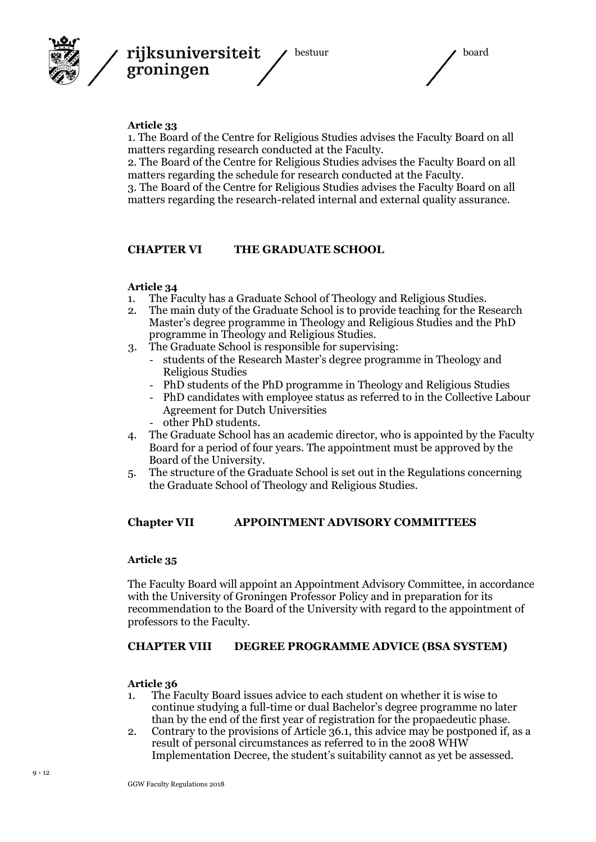



#### **Article 33**

1. The Board of the Centre for Religious Studies advises the Faculty Board on all matters regarding research conducted at the Faculty.

2. The Board of the Centre for Religious Studies advises the Faculty Board on all matters regarding the schedule for research conducted at the Faculty.

3. The Board of the Centre for Religious Studies advises the Faculty Board on all matters regarding the research-related internal and external quality assurance.

#### **CHAPTER VI THE GRADUATE SCHOOL**

#### **Article 34**

- 1. The Faculty has a Graduate School of Theology and Religious Studies.
- 2. The main duty of the Graduate School is to provide teaching for the Research Master's degree programme in Theology and Religious Studies and the PhD programme in Theology and Religious Studies.
- 3. The Graduate School is responsible for supervising:
	- students of the Research Master's degree programme in Theology and Religious Studies
	- PhD students of the PhD programme in Theology and Religious Studies
	- PhD candidates with employee status as referred to in the Collective Labour Agreement for Dutch Universities
	- other PhD students.
- 4. The Graduate School has an academic director, who is appointed by the Faculty Board for a period of four years. The appointment must be approved by the Board of the University.
- 5. The structure of the Graduate School is set out in the Regulations concerning the Graduate School of Theology and Religious Studies.

#### **Chapter VII APPOINTMENT ADVISORY COMMITTEES**

#### **Article 35**

The Faculty Board will appoint an Appointment Advisory Committee, in accordance with the University of Groningen Professor Policy and in preparation for its recommendation to the Board of the University with regard to the appointment of professors to the Faculty.

#### **CHAPTER VIII DEGREE PROGRAMME ADVICE (BSA SYSTEM)**

- 1. The Faculty Board issues advice to each student on whether it is wise to continue studying a full-time or dual Bachelor's degree programme no later than by the end of the first year of registration for the propaedeutic phase.
- 2. Contrary to the provisions of Article 36.1, this advice may be postponed if, as a result of personal circumstances as referred to in the 2008 WHW Implementation Decree, the student's suitability cannot as yet be assessed.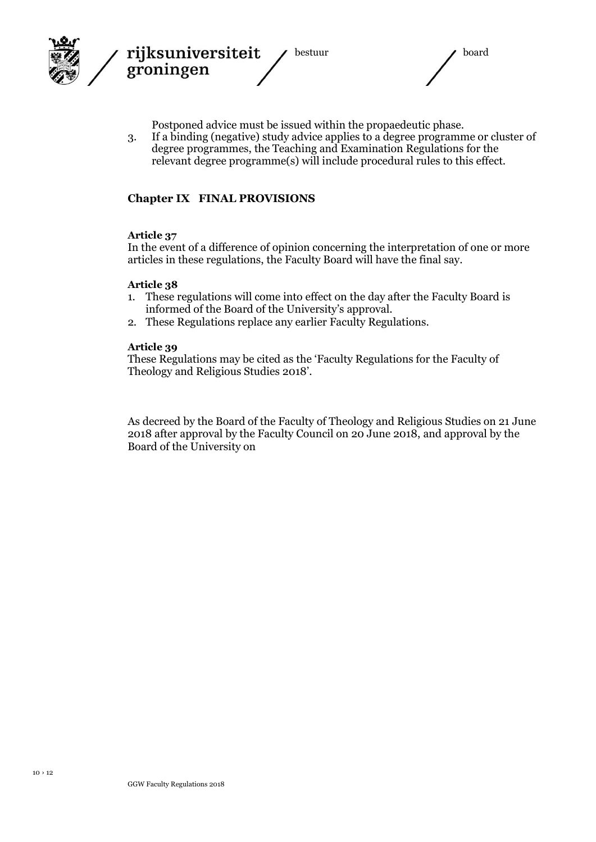

Postponed advice must be issued within the propaedeutic phase.

3. If a binding (negative) study advice applies to a degree programme or cluster of degree programmes, the Teaching and Examination Regulations for the relevant degree programme(s) will include procedural rules to this effect.

### **Chapter IX FINAL PROVISIONS**

#### **Article 37**

In the event of a difference of opinion concerning the interpretation of one or more articles in these regulations, the Faculty Board will have the final say.

#### **Article 38**

- 1. These regulations will come into effect on the day after the Faculty Board is informed of the Board of the University's approval.
- 2. These Regulations replace any earlier Faculty Regulations.

#### **Article 39**

These Regulations may be cited as the 'Faculty Regulations for the Faculty of Theology and Religious Studies 2018'.

As decreed by the Board of the Faculty of Theology and Religious Studies on 21 June 2018 after approval by the Faculty Council on 20 June 2018, and approval by the Board of the University on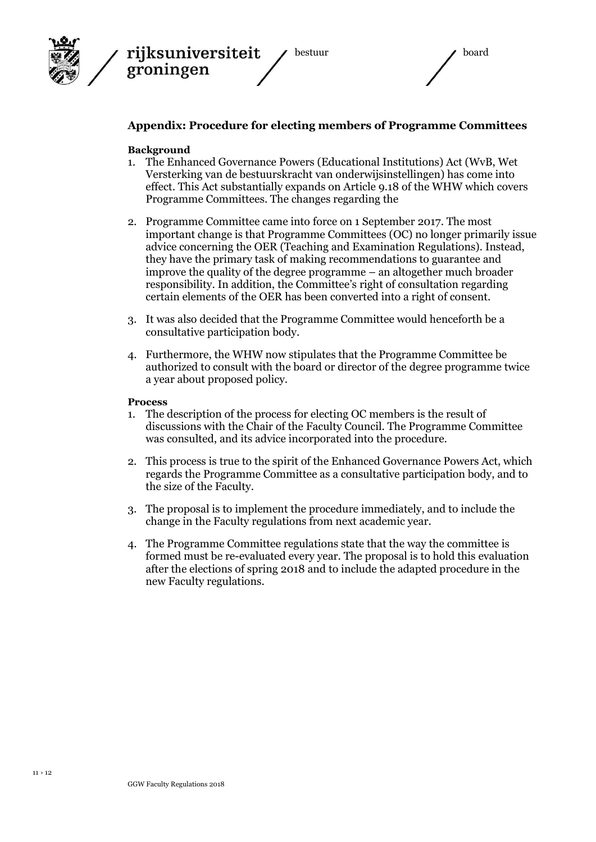



bestuur board

## **Appendix: Procedure for electing members of Programme Committees**

#### **Background**

- 1. The Enhanced Governance Powers (Educational Institutions) Act (WvB, Wet Versterking van de bestuurskracht van onderwijsinstellingen) has come into effect. This Act substantially expands on Article 9.18 of the WHW which covers Programme Committees. The changes regarding the
- 2. Programme Committee came into force on 1 September 2017. The most important change is that Programme Committees (OC) no longer primarily issue advice concerning the OER (Teaching and Examination Regulations). Instead, they have the primary task of making recommendations to guarantee and improve the quality of the degree programme – an altogether much broader responsibility. In addition, the Committee's right of consultation regarding certain elements of the OER has been converted into a right of consent.
- 3. It was also decided that the Programme Committee would henceforth be a consultative participation body.
- 4. Furthermore, the WHW now stipulates that the Programme Committee be authorized to consult with the board or director of the degree programme twice a year about proposed policy.

#### **Process**

- 1. The description of the process for electing OC members is the result of discussions with the Chair of the Faculty Council. The Programme Committee was consulted, and its advice incorporated into the procedure.
- 2. This process is true to the spirit of the Enhanced Governance Powers Act, which regards the Programme Committee as a consultative participation body, and to the size of the Faculty.
- 3. The proposal is to implement the procedure immediately, and to include the change in the Faculty regulations from next academic year.
- 4. The Programme Committee regulations state that the way the committee is formed must be re-evaluated every year. The proposal is to hold this evaluation after the elections of spring 2018 and to include the adapted procedure in the new Faculty regulations.